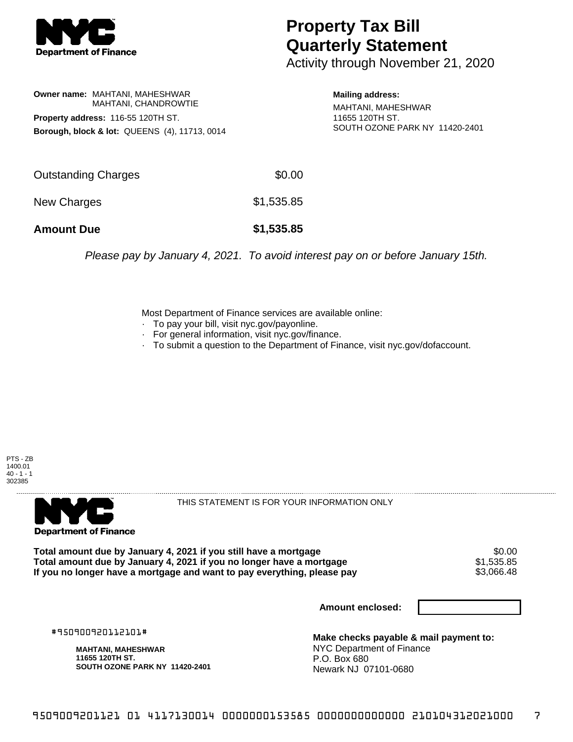

## **Property Tax Bill Quarterly Statement**

Activity through November 21, 2020

**Owner name:** MAHTANI, MAHESHWAR MAHTANI, CHANDROWTIE **Property address:** 116-55 120TH ST. **Borough, block & lot:** QUEENS (4), 11713, 0014

**Mailing address:** MAHTANI, MAHESHWAR 11655 120TH ST. SOUTH OZONE PARK NY 11420-2401

| <b>Amount Due</b>   | \$1,535.85 |
|---------------------|------------|
| New Charges         | \$1,535.85 |
| Outstanding Charges | \$0.00     |

Please pay by January 4, 2021. To avoid interest pay on or before January 15th.

Most Department of Finance services are available online:

- · To pay your bill, visit nyc.gov/payonline.
- For general information, visit nyc.gov/finance.
- · To submit a question to the Department of Finance, visit nyc.gov/dofaccount.





THIS STATEMENT IS FOR YOUR INFORMATION ONLY

Total amount due by January 4, 2021 if you still have a mortgage  $$0.00$ <br>Total amount due by January 4, 2021 if you no longer have a mortgage  $$1,535.85$ **Total amount due by January 4, 2021 if you no longer have a mortgage**  $$1,535.85$ **<br>If you no longer have a mortgage and want to pay everything, please pay <b>show that have use** \$3,066.48 If you no longer have a mortgage and want to pay everything, please pay

**Amount enclosed:**

#950900920112101#

**MAHTANI, MAHESHWAR 11655 120TH ST. SOUTH OZONE PARK NY 11420-2401**

**Make checks payable & mail payment to:** NYC Department of Finance P.O. Box 680 Newark NJ 07101-0680